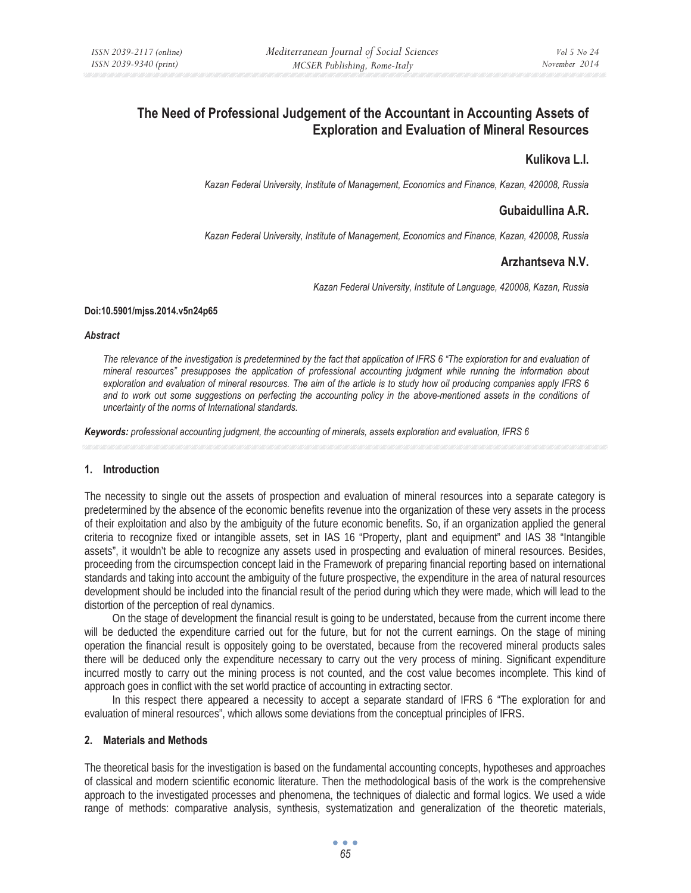# **The Need of Professional Judgement of the Accountant in Accounting Assets of Exploration and Evaluation of Mineral Resources**

# **Kulikova L.I.**

*Kazan Federal University, Institute of Management, Economics and Finance, Kazan, 420008, Russia* 

# **Gubaidullina A.R.**

*Kazan Federal University, Institute of Management, Economics and Finance, Kazan, 420008, Russia* 

# **Arzhantseva N.V.**

*Kazan Federal University, Institute of Language, 420008, Kazan, Russia* 

#### **Doi:10.5901/mjss.2014.v5n24p65**

#### *Abstract*

The relevance of the investigation is predetermined by the fact that application of IFRS 6 "The exploration for and evaluation of *mineral resources" presupposes the application of professional accounting judgment while running the information about exploration and evaluation of mineral resources. The aim of the article is to study how oil producing companies apply IFRS 6*  and to work out some suggestions on perfecting the accounting policy in the above-mentioned assets in the conditions of *uncertainty of the norms of International standards.* 

*Keywords: professional accounting judgment, the accounting of minerals, assets exploration and evaluation, IFRS 6*

#### **1. Introduction**

The necessity to single out the assets of prospection and evaluation of mineral resources into a separate category is predetermined by the absence of the economic benefits revenue into the organization of these very assets in the process of their exploitation and also by the ambiguity of the future economic benefits. So, if an organization applied the general criteria to recognize fixed or intangible assets, set in IAS 16 "Property, plant and equipment" and IAS 38 "Intangible assets", it wouldn't be able to recognize any assets used in prospecting and evaluation of mineral resources. Besides, proceeding from the circumspection concept laid in the Framework of preparing financial reporting based on international standards and taking into account the ambiguity of the future prospective, the expenditure in the area of natural resources development should be included into the financial result of the period during which they were made, which will lead to the distortion of the perception of real dynamics.

On the stage of development the financial result is going to be understated, because from the current income there will be deducted the expenditure carried out for the future, but for not the current earnings. On the stage of mining operation the financial result is oppositely going to be overstated, because from the recovered mineral products sales there will be deduced only the expenditure necessary to carry out the very process of mining. Significant expenditure incurred mostly to carry out the mining process is not counted, and the cost value becomes incomplete. This kind of approach goes in conflict with the set world practice of accounting in extracting sector.

In this respect there appeared a necessity to accept a separate standard of IFRS 6 "The exploration for and evaluation of mineral resources", which allows some deviations from the conceptual principles of IFRS.

## **2. Materials and Methods**

The theoretical basis for the investigation is based on the fundamental accounting concepts, hypotheses and approaches of classical and modern scientific economic literature. Then the methodological basis of the work is the comprehensive approach to the investigated processes and phenomena, the techniques of dialectic and formal logics. We used a wide range of methods: comparative analysis, synthesis, systematization and generalization of the theoretic materials,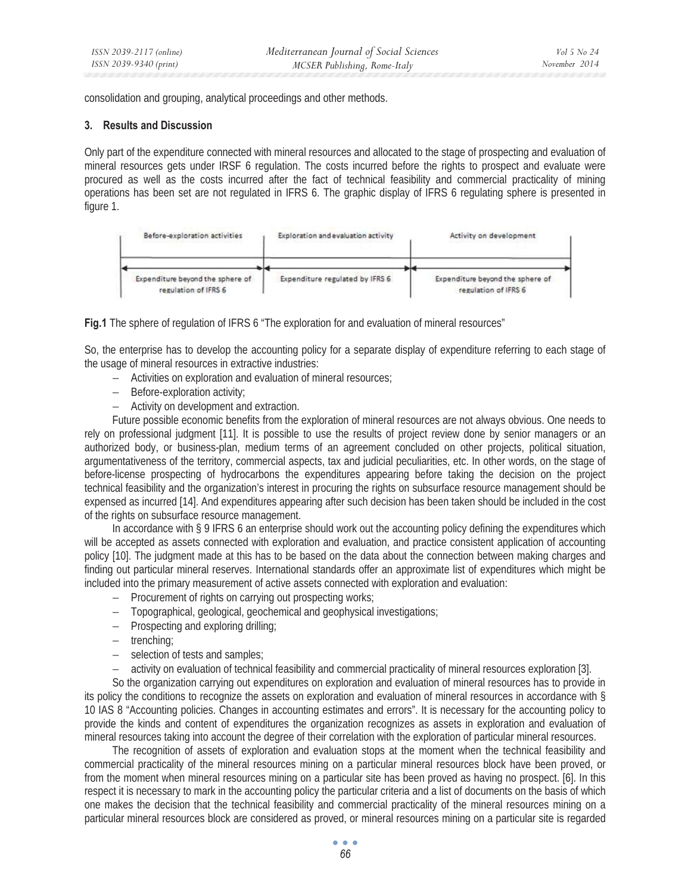consolidation and grouping, analytical proceedings and other methods.

#### **3. Results and Discussion**

Only part of the expenditure connected with mineral resources and allocated to the stage of prospecting and evaluation of mineral resources gets under IRSF 6 regulation. The costs incurred before the rights to prospect and evaluate were procured as well as the costs incurred after the fact of technical feasibility and commercial practicality of mining operations has been set are not regulated in IFRS 6. The graphic display of IFRS 6 regulating sphere is presented in figure 1.



**Fig.1** The sphere of regulation of IFRS 6 "The exploration for and evaluation of mineral resources"

So, the enterprise has to develop the accounting policy for a separate display of expenditure referring to each stage of the usage of mineral resources in extractive industries:

- − Activities on exploration and evaluation of mineral resources;
- − Before-exploration activity;
- − Activity on development and extraction.

Future possible economic benefits from the exploration of mineral resources are not always obvious. One needs to rely on professional judgment [11]. It is possible to use the results of project review done by senior managers or an authorized body, or business-plan, medium terms of an agreement concluded on other projects, political situation, argumentativeness of the territory, commercial aspects, tax and judicial peculiarities, etc. In other words, on the stage of before-license prospecting of hydrocarbons the expenditures appearing before taking the decision on the project technical feasibility and the organization's interest in procuring the rights on subsurface resource management should be expensed as incurred [14]. And expenditures appearing after such decision has been taken should be included in the cost of the rights on subsurface resource management.

In accordance with § 9 IFRS 6 an enterprise should work out the accounting policy defining the expenditures which will be accepted as assets connected with exploration and evaluation, and practice consistent application of accounting policy [10]. The judgment made at this has to be based on the data about the connection between making charges and finding out particular mineral reserves. International standards offer an approximate list of expenditures which might be included into the primary measurement of active assets connected with exploration and evaluation:

- − Procurement of rights on carrying out prospecting works;
- − Topographical, geological, geochemical and geophysical investigations;
- − Prospecting and exploring drilling;
- − trenching;
- − selection of tests and samples;
- − activity on evaluation of technical feasibility and commercial practicality of mineral resources exploration [3].

So the organization carrying out expenditures on exploration and evaluation of mineral resources has to provide in its policy the conditions to recognize the assets on exploration and evaluation of mineral resources in accordance with § 10 IAS 8 "Accounting policies. Changes in accounting estimates and errors". It is necessary for the accounting policy to provide the kinds and content of expenditures the organization recognizes as assets in exploration and evaluation of mineral resources taking into account the degree of their correlation with the exploration of particular mineral resources.

The recognition of assets of exploration and evaluation stops at the moment when the technical feasibility and commercial practicality of the mineral resources mining on a particular mineral resources block have been proved, or from the moment when mineral resources mining on a particular site has been proved as having no prospect. [6]. In this respect it is necessary to mark in the accounting policy the particular criteria and a list of documents on the basis of which one makes the decision that the technical feasibility and commercial practicality of the mineral resources mining on a particular mineral resources block are considered as proved, or mineral resources mining on a particular site is regarded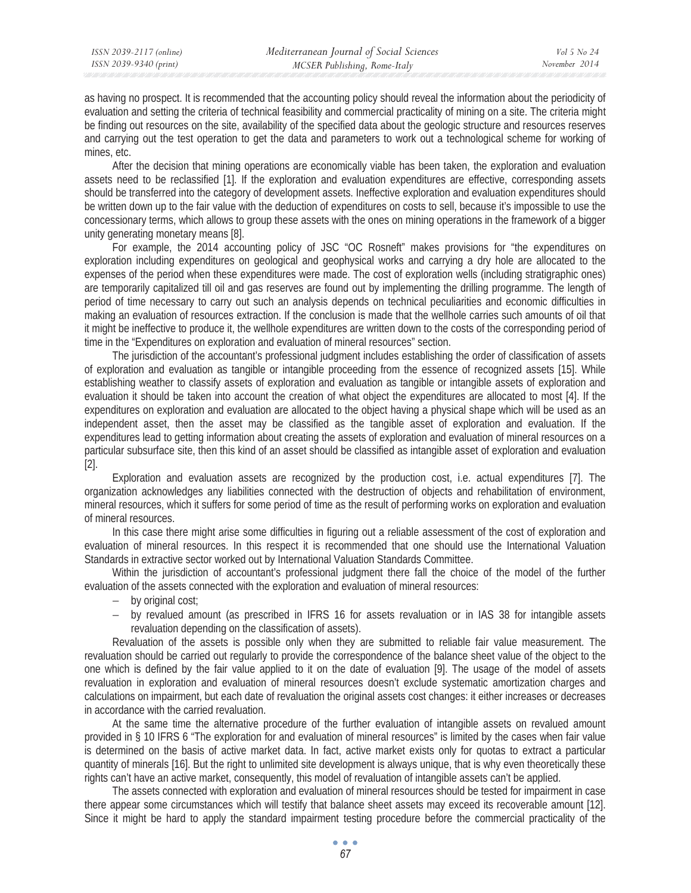as having no prospect. It is recommended that the accounting policy should reveal the information about the periodicity of evaluation and setting the criteria of technical feasibility and commercial practicality of mining on a site. The criteria might be finding out resources on the site, availability of the specified data about the geologic structure and resources reserves and carrying out the test operation to get the data and parameters to work out a technological scheme for working of mines, etc.

After the decision that mining operations are economically viable has been taken, the exploration and evaluation assets need to be reclassified [1]. If the exploration and evaluation expenditures are effective, corresponding assets should be transferred into the category of development assets. Ineffective exploration and evaluation expenditures should be written down up to the fair value with the deduction of expenditures on costs to sell, because it's impossible to use the concessionary terms, which allows to group these assets with the ones on mining operations in the framework of a bigger unity generating monetary means [8].

For example, the 2014 accounting policy of JSC "OC Rosneft" makes provisions for "the expenditures on exploration including expenditures on geological and geophysical works and carrying a dry hole are allocated to the expenses of the period when these expenditures were made. The cost of exploration wells (including stratigraphic ones) are temporarily capitalized till oil and gas reserves are found out by implementing the drilling programme. The length of period of time necessary to carry out such an analysis depends on technical peculiarities and economic difficulties in making an evaluation of resources extraction. If the conclusion is made that the wellhole carries such amounts of oil that it might be ineffective to produce it, the wellhole expenditures are written down to the costs of the corresponding period of time in the "Expenditures on exploration and evaluation of mineral resources" section.

The jurisdiction of the accountant's professional judgment includes establishing the order of classification of assets of exploration and evaluation as tangible or intangible proceeding from the essence of recognized assets [15]. While establishing weather to classify assets of exploration and evaluation as tangible or intangible assets of exploration and evaluation it should be taken into account the creation of what object the expenditures are allocated to most [4]. If the expenditures on exploration and evaluation are allocated to the object having a physical shape which will be used as an independent asset, then the asset may be classified as the tangible asset of exploration and evaluation. If the expenditures lead to getting information about creating the assets of exploration and evaluation of mineral resources on a particular subsurface site, then this kind of an asset should be classified as intangible asset of exploration and evaluation [2].

Exploration and evaluation assets are recognized by the production cost, i.e. actual expenditures [7]. The organization acknowledges any liabilities connected with the destruction of objects and rehabilitation of environment, mineral resources, which it suffers for some period of time as the result of performing works on exploration and evaluation of mineral resources.

In this case there might arise some difficulties in figuring out a reliable assessment of the cost of exploration and evaluation of mineral resources. In this respect it is recommended that one should use the International Valuation Standards in extractive sector worked out by International Valuation Standards Committee.

Within the jurisdiction of accountant's professional judgment there fall the choice of the model of the further evaluation of the assets connected with the exploration and evaluation of mineral resources:

- − by original cost;
- − by revalued amount (as prescribed in IFRS 16 for assets revaluation or in IAS 38 for intangible assets revaluation depending on the classification of assets).

Revaluation of the assets is possible only when they are submitted to reliable fair value measurement. The revaluation should be carried out regularly to provide the correspondence of the balance sheet value of the object to the one which is defined by the fair value applied to it on the date of evaluation [9]. The usage of the model of assets revaluation in exploration and evaluation of mineral resources doesn't exclude systematic amortization charges and calculations on impairment, but each date of revaluation the original assets cost changes: it either increases or decreases in accordance with the carried revaluation.

At the same time the alternative procedure of the further evaluation of intangible assets on revalued amount provided in § 10 IFRS 6 "The exploration for and evaluation of mineral resources" is limited by the cases when fair value is determined on the basis of active market data. In fact, active market exists only for quotas to extract a particular quantity of minerals [16]. But the right to unlimited site development is always unique, that is why even theoretically these rights can't have an active market, consequently, this model of revaluation of intangible assets can't be applied.

The assets connected with exploration and evaluation of mineral resources should be tested for impairment in case there appear some circumstances which will testify that balance sheet assets may exceed its recoverable amount [12]. Since it might be hard to apply the standard impairment testing procedure before the commercial practicality of the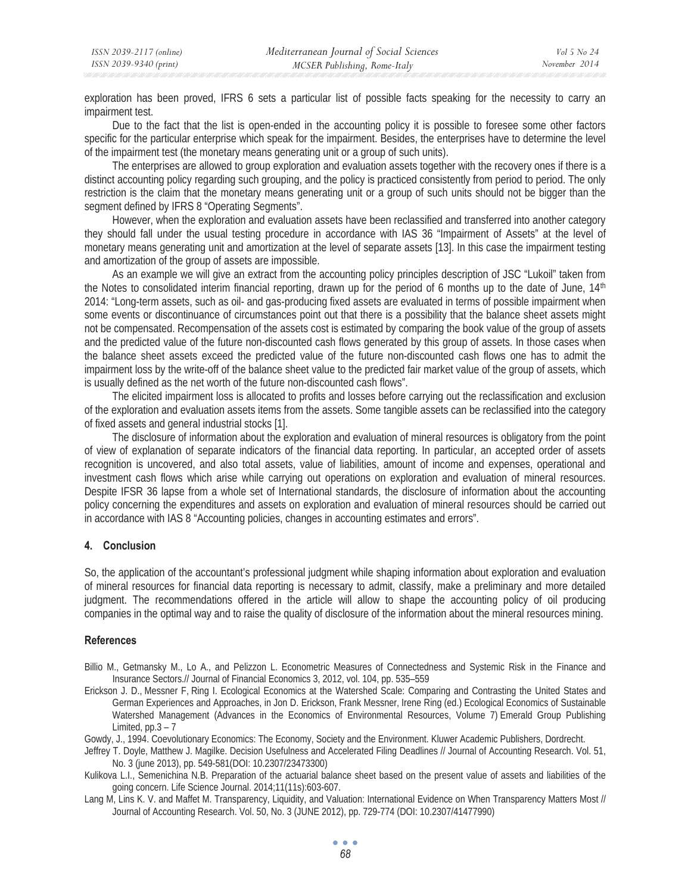exploration has been proved, IFRS 6 sets a particular list of possible facts speaking for the necessity to carry an impairment test.

Due to the fact that the list is open-ended in the accounting policy it is possible to foresee some other factors specific for the particular enterprise which speak for the impairment. Besides, the enterprises have to determine the level of the impairment test (the monetary means generating unit or a group of such units).

The enterprises are allowed to group exploration and evaluation assets together with the recovery ones if there is a distinct accounting policy regarding such grouping, and the policy is practiced consistently from period to period. The only restriction is the claim that the monetary means generating unit or a group of such units should not be bigger than the segment defined by IFRS 8 "Operating Segments".

However, when the exploration and evaluation assets have been reclassified and transferred into another category they should fall under the usual testing procedure in accordance with IAS 36 "Impairment of Assets" at the level of monetary means generating unit and amortization at the level of separate assets [13]. In this case the impairment testing and amortization of the group of assets are impossible.

As an example we will give an extract from the accounting policy principles description of JSC "Lukoil" taken from the Notes to consolidated interim financial reporting, drawn up for the period of 6 months up to the date of June, 14th 2014: "Long-term assets, such as oil- and gas-producing fixed assets are evaluated in terms of possible impairment when some events or discontinuance of circumstances point out that there is a possibility that the balance sheet assets might not be compensated. Recompensation of the assets cost is estimated by comparing the book value of the group of assets and the predicted value of the future non-discounted cash flows generated by this group of assets. In those cases when the balance sheet assets exceed the predicted value of the future non-discounted cash flows one has to admit the impairment loss by the write-off of the balance sheet value to the predicted fair market value of the group of assets, which is usually defined as the net worth of the future non-discounted cash flows".

The elicited impairment loss is allocated to profits and losses before carrying out the reclassification and exclusion of the exploration and evaluation assets items from the assets. Some tangible assets can be reclassified into the category of fixed assets and general industrial stocks [1].

The disclosure of information about the exploration and evaluation of mineral resources is obligatory from the point of view of explanation of separate indicators of the financial data reporting. In particular, an accepted order of assets recognition is uncovered, and also total assets, value of liabilities, amount of income and expenses, operational and investment cash flows which arise while carrying out operations on exploration and evaluation of mineral resources. Despite IFSR 36 lapse from a whole set of International standards, the disclosure of information about the accounting policy concerning the expenditures and assets on exploration and evaluation of mineral resources should be carried out in accordance with IAS 8 "Accounting policies, changes in accounting estimates and errors".

# **4. Conclusion**

So, the application of the accountant's professional judgment while shaping information about exploration and evaluation of mineral resources for financial data reporting is necessary to admit, classify, make a preliminary and more detailed judgment. The recommendations offered in the article will allow to shape the accounting policy of oil producing companies in the optimal way and to raise the quality of disclosure of the information about the mineral resources mining.

## **References**

- Billio M., Getmansky M., Lo A., and Pelizzon L. Econometric Measures of Connectedness and Systemic Risk in the Finance and Insurance Sectors.// Journal of Financial Economics 3, 2012, vol. 104, pp. 535–559
- Erickson J. D., Messner F, Ring I. Ecological Economics at the Watershed Scale: Comparing and Contrasting the United States and German Experiences and Approaches, in Jon D. Erickson, Frank Messner, Irene Ring (ed.) Ecological Economics of Sustainable Watershed Management (Advances in the Economics of Environmental Resources, Volume 7) Emerald Group Publishing Limited,  $pp.3 - 7$
- Gowdy, J., 1994. Coevolutionary Economics: The Economy, Society and the Environment. Kluwer Academic Publishers, Dordrecht.

Jeffrey T. Doyle, Matthew J. Magilke. Decision Usefulness and Accelerated Filing Deadlines // Journal of Accounting Research. Vol. 51, No. 3 (june 2013), pp. 549-581(DOI: 10.2307/23473300)

Kulikova L.I., Semenichina N.B. Preparation of the actuarial balance sheet based on the present value of assets and liabilities of the going concern. Life Science Journal. 2014;11(11s):603-607.

Lang M, Lins K. V. and Maffet M. Transparency, Liquidity, and Valuation: International Evidence on When Transparency Matters Most // Journal of Accounting Research. Vol. 50, No. 3 (JUNE 2012), pp. 729-774 (DOI: 10.2307/41477990)